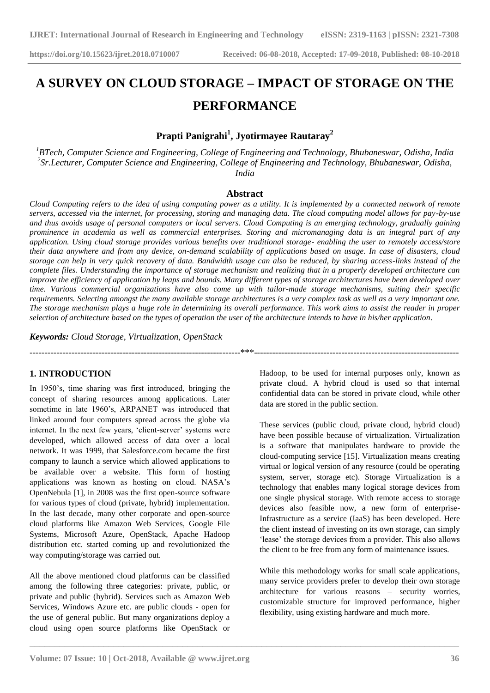# **A SURVEY ON CLOUD STORAGE – IMPACT OF STORAGE ON THE PERFORMANCE**

# **Prapti Panigrahi<sup>1</sup> , Jyotirmayee Rautaray<sup>2</sup>**

*<sup>1</sup>BTech, Computer Science and Engineering, College of Engineering and Technology, Bhubaneswar, Odisha, India 2 Sr.Lecturer, Computer Science and Engineering, College of Engineering and Technology, Bhubaneswar, Odisha, India*

#### **Abstract**

*Cloud Computing refers to the idea of using computing power as a utility. It is implemented by a connected network of remote servers, accessed via the internet, for processing, storing and managing data. The cloud computing model allows for pay-by-use and thus avoids usage of personal computers or local servers. Cloud Computing is an emerging technology, gradually gaining prominence in academia as well as commercial enterprises. Storing and micromanaging data is an integral part of any application. Using cloud storage provides various benefits over traditional storage- enabling the user to remotely access/store their data anywhere and from any device, on-demand scalability of applications based on usage. In case of disasters, cloud storage can help in very quick recovery of data. Bandwidth usage can also be reduced, by sharing access-links instead of the complete files. Understanding the importance of storage mechanism and realizing that in a properly developed architecture can improve the efficiency of application by leaps and bounds. Many different types of storage architectures have been developed over time. Various commercial organizations have also come up with tailor-made storage mechanisms, suiting their specific requirements. Selecting amongst the many available storage architectures is a very complex task as well as a very important one. The storage mechanism plays a huge role in determining its overall performance. This work aims to assist the reader in proper selection of architecture based on the types of operation the user of the architecture intends to have in his/her application.*

 $\ast\ast\ast$ 

**\_\_\_\_\_\_\_\_\_\_\_\_\_\_\_\_\_\_\_\_\_\_\_\_\_\_\_\_\_\_\_\_\_\_\_\_\_\_\_\_\_\_\_\_\_\_\_\_\_\_\_\_\_\_\_\_\_\_\_\_\_\_\_\_\_\_\_\_\_\_\_\_\_\_\_\_\_\_\_\_\_\_\_\_\_\_\_**

*Keywords: Cloud Storage, Virtualization, OpenStack*

#### **1. INTRODUCTION**

In 1950"s, time sharing was first introduced, bringing the concept of sharing resources among applications. Later sometime in late 1960's, ARPANET was introduced that linked around four computers spread across the globe via internet. In the next few years, 'client-server' systems were developed, which allowed access of data over a local network. It was 1999, that Salesforce.com became the first company to launch a service which allowed applications to be available over a website. This form of hosting applications was known as hosting on cloud. NASA"s OpenNebula [1], in 2008 was the first open-source software for various types of cloud (private, hybrid) implementation. In the last decade, many other corporate and open-source cloud platforms like Amazon Web Services, Google File Systems, Microsoft Azure, OpenStack, Apache Hadoop distribution etc. started coming up and revolutionized the way computing/storage was carried out.

All the above mentioned cloud platforms can be classified among the following three categories: private, public, or private and public (hybrid). Services such as Amazon Web Services, Windows Azure etc. are public clouds - open for the use of general public. But many organizations deploy a cloud using open source platforms like OpenStack or Hadoop, to be used for internal purposes only, known as private cloud. A hybrid cloud is used so that internal confidential data can be stored in private cloud, while other data are stored in the public section.

These services (public cloud, private cloud, hybrid cloud) have been possible because of virtualization. Virtualization is a software that manipulates hardware to provide the cloud-computing service [15]. Virtualization means creating virtual or logical version of any resource (could be operating system, server, storage etc). Storage Virtualization is a technology that enables many logical storage devices from one single physical storage. With remote access to storage devices also feasible now, a new form of enterprise-Infrastructure as a service (IaaS) has been developed. Here the client instead of investing on its own storage, can simply 'lease' the storage devices from a provider. This also allows the client to be free from any form of maintenance issues.

While this methodology works for small scale applications, many service providers prefer to develop their own storage architecture for various reasons – security worries, customizable structure for improved performance, higher flexibility, using existing hardware and much more.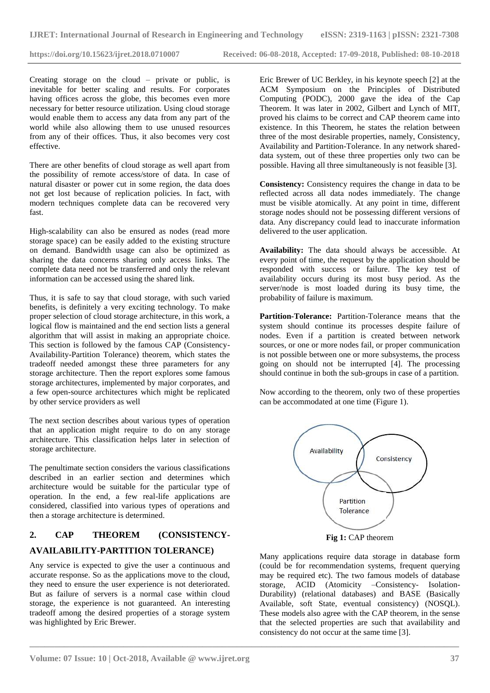Creating storage on the cloud – private or public, is inevitable for better scaling and results. For corporates having offices across the globe, this becomes even more necessary for better resource utilization. Using cloud storage would enable them to access any data from any part of the world while also allowing them to use unused resources from any of their offices. Thus, it also becomes very cost effective.

There are other benefits of cloud storage as well apart from the possibility of remote access/store of data. In case of natural disaster or power cut in some region, the data does not get lost because of replication policies. In fact, with modern techniques complete data can be recovered very fast.

High-scalability can also be ensured as nodes (read more storage space) can be easily added to the existing structure on demand. Bandwidth usage can also be optimized as sharing the data concerns sharing only access links. The complete data need not be transferred and only the relevant information can be accessed using the shared link.

Thus, it is safe to say that cloud storage, with such varied benefits, is definitely a very exciting technology. To make proper selection of cloud storage architecture, in this work, a logical flow is maintained and the end section lists a general algorithm that will assist in making an appropriate choice. This section is followed by the famous CAP (Consistency-Availability-Partition Tolerance) theorem, which states the tradeoff needed amongst these three parameters for any storage architecture. Then the report explores some famous storage architectures, implemented by major corporates, and a few open-source architectures which might be replicated by other service providers as well

The next section describes about various types of operation that an application might require to do on any storage architecture. This classification helps later in selection of storage architecture.

The penultimate section considers the various classifications described in an earlier section and determines which architecture would be suitable for the particular type of operation. In the end, a few real-life applications are considered, classified into various types of operations and then a storage architecture is determined.

# **2. CAP THEOREM (CONSISTENCY-AVAILABILITY-PARTITION TOLERANCE)**

Any service is expected to give the user a continuous and accurate response. So as the applications move to the cloud, they need to ensure the user experience is not deteriorated. But as failure of servers is a normal case within cloud storage, the experience is not guaranteed. An interesting tradeoff among the desired properties of a storage system was highlighted by Eric Brewer.

Eric Brewer of UC Berkley, in his keynote speech [2] at the ACM Symposium on the Principles of Distributed Computing (PODC), 2000 gave the idea of the Cap Theorem. It was later in 2002, Gilbert and Lynch of MIT, proved his claims to be correct and CAP theorem came into existence. In this Theorem, he states the relation between three of the most desirable properties, namely, Consistency, Availability and Partition-Tolerance. In any network shareddata system, out of these three properties only two can be possible. Having all three simultaneously is not feasible [3].

**Consistency:** Consistency requires the change in data to be reflected across all data nodes immediately. The change must be visible atomically. At any point in time, different storage nodes should not be possessing different versions of data. Any discrepancy could lead to inaccurate information delivered to the user application.

**Availability:** The data should always be accessible. At every point of time, the request by the application should be responded with success or failure. The key test of availability occurs during its most busy period. As the server/node is most loaded during its busy time, the probability of failure is maximum.

**Partition-Tolerance:** Partition-Tolerance means that the system should continue its processes despite failure of nodes. Even if a partition is created between network sources, or one or more nodes fail, or proper communication is not possible between one or more subsystems, the process going on should not be interrupted [4]. The processing should continue in both the sub-groups in case of a partition.

Now according to the theorem, only two of these properties can be accommodated at one time (Figure 1).



**Fig 1:** CAP theorem

Many applications require data storage in database form (could be for recommendation systems, frequent querying may be required etc). The two famous models of database storage, ACID (Atomicity –Consistency- Isolation-Durability) (relational databases) and BASE (Basically Available, soft State, eventual consistency) (NOSQL). These models also agree with the CAP theorem, in the sense that the selected properties are such that availability and consistency do not occur at the same time [3].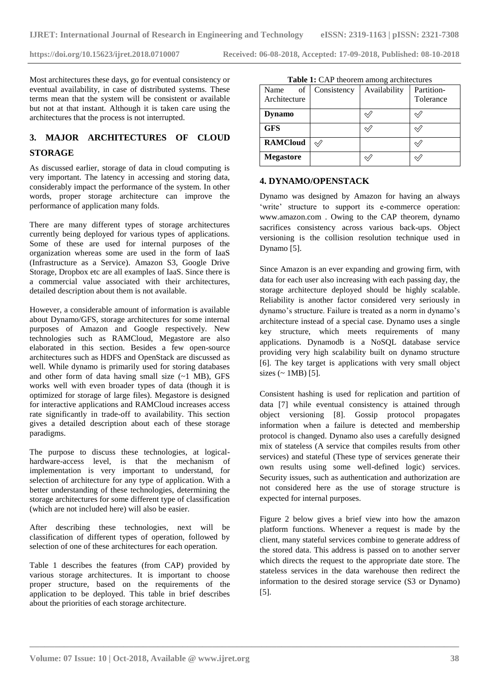Most architectures these days, go for eventual consistency or eventual availability, in case of distributed systems. These terms mean that the system will be consistent or available but not at that instant. Although it is taken care using the architectures that the process is not interrupted.

# **3. MAJOR ARCHITECTURES OF CLOUD STORAGE**

As discussed earlier, storage of data in cloud computing is very important. The latency in accessing and storing data, considerably impact the performance of the system. In other words, proper storage architecture can improve the performance of application many folds.

There are many different types of storage architectures currently being deployed for various types of applications. Some of these are used for internal purposes of the organization whereas some are used in the form of IaaS (Infrastructure as a Service). Amazon S3, Google Drive Storage, Dropbox etc are all examples of IaaS. Since there is a commercial value associated with their architectures, detailed description about them is not available.

However, a considerable amount of information is available about Dynamo/GFS, storage architectures for some internal purposes of Amazon and Google respectively. New technologies such as RAMCloud, Megastore are also elaborated in this section. Besides a few open-source architectures such as HDFS and OpenStack are discussed as well. While dynamo is primarily used for storing databases and other form of data having small size (~1 MB), GFS works well with even broader types of data (though it is optimized for storage of large files). Megastore is designed for interactive applications and RAMCloud increases access rate significantly in trade-off to availability. This section gives a detailed description about each of these storage paradigms.

The purpose to discuss these technologies, at logicalhardware-access level, is that the mechanism of implementation is very important to understand, for selection of architecture for any type of application. With a better understanding of these technologies, determining the storage architectures for some different type of classification (which are not included here) will also be easier.

After describing these technologies, next will be classification of different types of operation, followed by selection of one of these architectures for each operation.

Table 1 describes the features (from CAP) provided by various storage architectures. It is important to choose proper structure, based on the requirements of the application to be deployed. This table in brief describes about the priorities of each storage architecture.

| <b>Table 1:</b> CAP theorem among architectures |             |              |                         |  |
|-------------------------------------------------|-------------|--------------|-------------------------|--|
| of<br>Name<br>Architecture                      | Consistency | Availability | Partition-<br>Tolerance |  |
| <b>Dynamo</b>                                   |             |              |                         |  |
| <b>GFS</b>                                      |             |              |                         |  |
| <b>RAMCloud</b>                                 |             |              |                         |  |
| <b>Megastore</b>                                |             |              |                         |  |

#### **4. DYNAMO/OPENSTACK**

Dynamo was designed by Amazon for having an always 'write' structure to support its e-commerce operation: [www.amazon.com](http://www.amazon.com/) . Owing to the CAP theorem, dynamo sacrifices consistency across various back-ups. Object versioning is the collision resolution technique used in Dynamo [5].

Since Amazon is an ever expanding and growing firm, with data for each user also increasing with each passing day, the storage architecture deployed should be highly scalable. Reliability is another factor considered very seriously in dynamo's structure. Failure is treated as a norm in dynamo's architecture instead of a special case. Dynamo uses a single key structure, which meets requirements of many applications. Dynamodb is a NoSQL database service providing very high scalability built on dynamo structure [6]. The key target is applications with very small object sizes  $($   $\sim$  1MB) [5].

Consistent hashing is used for replication and partition of data [7] while eventual consistency is attained through object versioning [8]. Gossip protocol propagates information when a failure is detected and membership protocol is changed. Dynamo also uses a carefully designed mix of stateless (A service that compiles results from other services) and stateful (These type of services generate their own results using some well-defined logic) services. Security issues, such as authentication and authorization are not considered here as the use of storage structure is expected for internal purposes.

Figure 2 below gives a brief view into how the amazon platform functions. Whenever a request is made by the client, many stateful services combine to generate address of the stored data. This address is passed on to another server which directs the request to the appropriate date store. The stateless services in the data warehouse then redirect the information to the desired storage service (S3 or Dynamo) [5].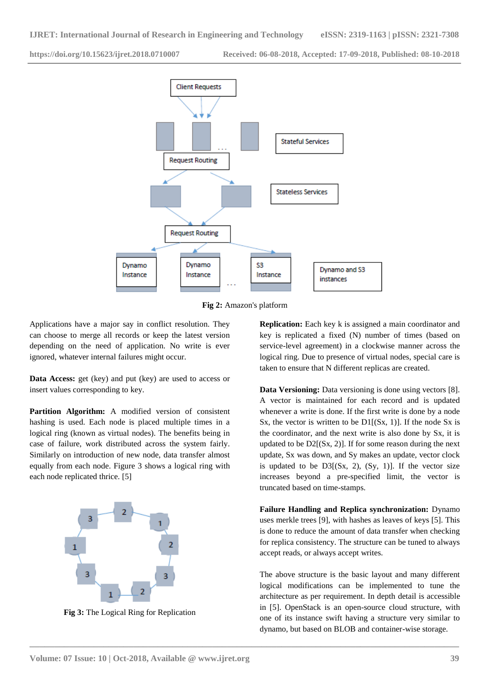

**Fig 2:** Amazon's platform

**\_\_\_\_\_\_\_\_\_\_\_\_\_\_\_\_\_\_\_\_\_\_\_\_\_\_\_\_\_\_\_\_\_\_\_\_\_\_\_\_\_\_\_\_\_\_\_\_\_\_\_\_\_\_\_\_\_\_\_\_\_\_\_\_\_\_\_\_\_\_\_\_\_\_\_\_\_\_\_\_\_\_\_\_\_\_\_**

Applications have a major say in conflict resolution. They can choose to merge all records or keep the latest version depending on the need of application. No write is ever ignored, whatever internal failures might occur.

**Data Access:** get (key) and put (key) are used to access or insert values corresponding to key.

**Partition Algorithm:** A modified version of consistent hashing is used. Each node is placed multiple times in a logical ring (known as virtual nodes). The benefits being in case of failure, work distributed across the system fairly. Similarly on introduction of new node, data transfer almost equally from each node. Figure 3 shows a logical ring with each node replicated thrice. [5]



**Fig 3:** The Logical Ring for Replication

**Replication:** Each key k is assigned a main coordinator and key is replicated a fixed (N) number of times (based on service-level agreement) in a clockwise manner across the logical ring. Due to presence of virtual nodes, special care is taken to ensure that N different replicas are created.

**Data Versioning:** Data versioning is done using vectors [8]. A vector is maintained for each record and is updated whenever a write is done. If the first write is done by a node Sx, the vector is written to be  $DI[(Sx, 1)]$ . If the node Sx is the coordinator, and the next write is also done by Sx, it is updated to be  $D2[(Sx, 2)]$ . If for some reason during the next update, Sx was down, and Sy makes an update, vector clock is updated to be  $D3[(Sx, 2), (Sy, 1)]$ . If the vector size increases beyond a pre-specified limit, the vector is truncated based on time-stamps.

**Failure Handling and Replica synchronization:** Dynamo uses merkle trees [9], with hashes as leaves of keys [5]. This is done to reduce the amount of data transfer when checking for replica consistency. The structure can be tuned to always accept reads, or always accept writes.

The above structure is the basic layout and many different logical modifications can be implemented to tune the architecture as per requirement. In depth detail is accessible in [5]. OpenStack is an open-source cloud structure, with one of its instance swift having a structure very similar to dynamo, but based on BLOB and container-wise storage.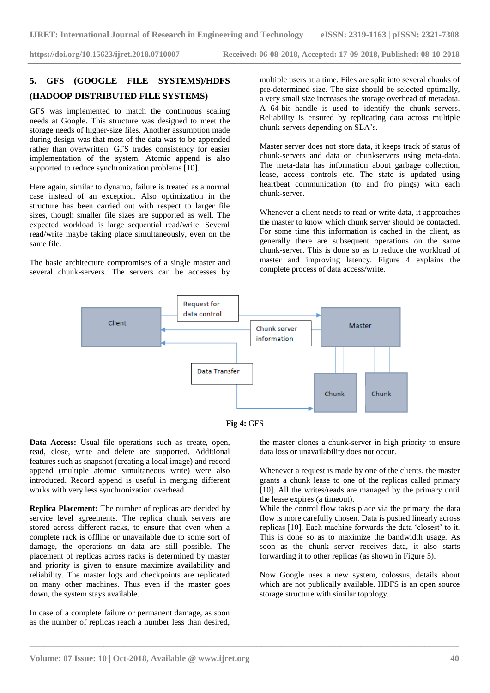# **5. GFS (GOOGLE FILE SYSTEMS)/HDFS (HADOOP DISTRIBUTED FILE SYSTEMS)**

GFS was implemented to match the continuous scaling needs at Google. This structure was designed to meet the storage needs of higher-size files. Another assumption made during design was that most of the data was to be appended rather than overwritten. GFS trades consistency for easier implementation of the system. Atomic append is also supported to reduce synchronization problems [10].

Here again, similar to dynamo, failure is treated as a normal case instead of an exception. Also optimization in the structure has been carried out with respect to larger file sizes, though smaller file sizes are supported as well. The expected workload is large sequential read/write. Several read/write maybe taking place simultaneously, even on the same file.

The basic architecture compromises of a single master and several chunk-servers. The servers can be accesses by multiple users at a time. Files are split into several chunks of pre-determined size. The size should be selected optimally, a very small size increases the storage overhead of metadata. A 64-bit handle is used to identify the chunk servers. Reliability is ensured by replicating data across multiple chunk-servers depending on SLA"s.

Master server does not store data, it keeps track of status of chunk-servers and data on chunkservers using meta-data. The meta-data has information about garbage collection, lease, access controls etc. The state is updated using heartbeat communication (to and fro pings) with each chunk-server.

Whenever a client needs to read or write data, it approaches the master to know which chunk server should be contacted. For some time this information is cached in the client, as generally there are subsequent operations on the same chunk-server. This is done so as to reduce the workload of master and improving latency. Figure 4 explains the complete process of data access/write.





**\_\_\_\_\_\_\_\_\_\_\_\_\_\_\_\_\_\_\_\_\_\_\_\_\_\_\_\_\_\_\_\_\_\_\_\_\_\_\_\_\_\_\_\_\_\_\_\_\_\_\_\_\_\_\_\_\_\_\_\_\_\_\_\_\_\_\_\_\_\_\_\_\_\_\_\_\_\_\_\_\_\_\_\_\_\_\_**

**Data Access:** Usual file operations such as create, open, read, close, write and delete are supported. Additional features such as snapshot (creating a local image) and record append (multiple atomic simultaneous write) were also introduced. Record append is useful in merging different works with very less synchronization overhead.

**Replica Placement:** The number of replicas are decided by service level agreements. The replica chunk servers are stored across different racks, to ensure that even when a complete rack is offline or unavailable due to some sort of damage, the operations on data are still possible. The placement of replicas across racks is determined by master and priority is given to ensure maximize availability and reliability. The master logs and checkpoints are replicated on many other machines. Thus even if the master goes down, the system stays available.

In case of a complete failure or permanent damage, as soon as the number of replicas reach a number less than desired,

the master clones a chunk-server in high priority to ensure data loss or unavailability does not occur.

Whenever a request is made by one of the clients, the master grants a chunk lease to one of the replicas called primary [10]. All the writes/reads are managed by the primary until the lease expires (a timeout).

While the control flow takes place via the primary, the data flow is more carefully chosen. Data is pushed linearly across replicas [10]. Each machine forwards the data "closest" to it. This is done so as to maximize the bandwidth usage. As soon as the chunk server receives data, it also starts forwarding it to other replicas (as shown in Figure 5).

Now Google uses a new system, colossus, details about which are not publically available. HDFS is an open source storage structure with similar topology.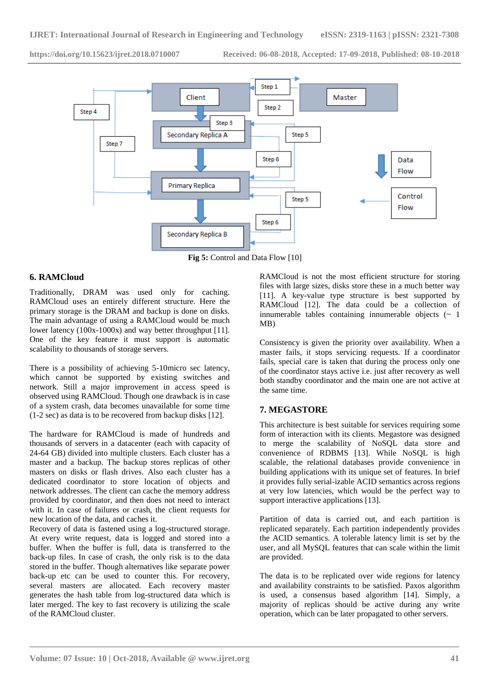

**Fig 5:** Control and Data Flow [10]

**\_\_\_\_\_\_\_\_\_\_\_\_\_\_\_\_\_\_\_\_\_\_\_\_\_\_\_\_\_\_\_\_\_\_\_\_\_\_\_\_\_\_\_\_\_\_\_\_\_\_\_\_\_\_\_\_\_\_\_\_\_\_\_\_\_\_\_\_\_\_\_\_\_\_\_\_\_\_\_\_\_\_\_\_\_\_\_**

# **6. RAMCloud**

Traditionally, DRAM was used only for caching. RAMCloud uses an entirely different structure. Here the primary storage is the DRAM and backup is done on disks. The main advantage of using a RAMCloud would be much lower latency (100x-1000x) and way better throughput [11]. One of the key feature it must support is automatic scalability to thousands of storage servers.

There is a possibility of achieving 5-10micro sec latency, which cannot be supported by existing switches and network. Still a major improvement in access speed is observed using RAMCloud. Though one drawback is in case of a system crash, data becomes unavailable for some time (1-2 sec) as data is to be recovered from backup disks [12].

The hardware for RAMCloud is made of hundreds and thousands of servers in a datacenter (each with capacity of 24-64 GB) divided into multiple clusters. Each cluster has a master and a backup. The backup stores replicas of other masters on disks or flash drives. Also each cluster has a dedicated coordinator to store location of objects and network addresses. The client can cache the memory address provided by coordinator, and then does not need to interact with it. In case of failures or crash, the client requests for new location of the data, and caches it.

Recovery of data is fastened using a log-structured storage. At every write request, data is logged and stored into a buffer. When the buffer is full, data is transferred to the back-up files. In case of crash, the only risk is to the data stored in the buffer. Though alternatives like separate power back-up etc can be used to counter this. For recovery, several masters are allocated. Each recovery master generates the hash table from log-structured data which is later merged. The key to fast recovery is utilizing the scale of the RAMCloud cluster.

RAMCloud is not the most efficient structure for storing files with large sizes, disks store these in a much better way [11]. A key-value type structure is best supported by RAMCloud [12]. The data could be a collection of innumerable tables containing innumerable objects  $(\sim 1)$ MB)

Consistency is given the priority over availability. When a master fails, it stops servicing requests. If a coordinator fails, special care is taken that during the process only one of the coordinator stays active i.e. just after recovery as well both standby coordinator and the main one are not active at the same time.

# **7. MEGASTORE**

This architecture is best suitable for services requiring some form of interaction with its clients. Megastore was designed to merge the scalability of NoSQL data store and convenience of RDBMS [13]. While NoSQL is high scalable, the relational databases provide convenience in building applications with its unique set of features. In brief it provides fully serial-izable ACID semantics across regions at very low latencies, which would be the perfect way to support interactive applications [13].

Partition of data is carried out, and each partition is replicated separately. Each partition independently provides the ACID semantics. A tolerable latency limit is set by the user, and all MySQL features that can scale within the limit are provided.

The data is to be replicated over wide regions for latency and availability constraints to be satisfied. Paxos algorithm is used, a consensus based algorithm [14]. Simply, a majority of replicas should be active during any write operation, which can be later propagated to other servers.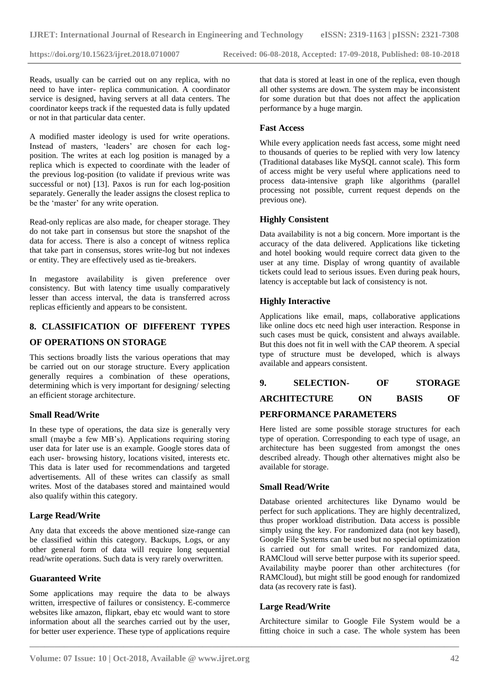Reads, usually can be carried out on any replica, with no need to have inter- replica communication. A coordinator service is designed, having servers at all data centers. The coordinator keeps track if the requested data is fully updated or not in that particular data center.

A modified master ideology is used for write operations. Instead of masters, 'leaders' are chosen for each logposition. The writes at each log position is managed by a replica which is expected to coordinate with the leader of the previous log-position (to validate if previous write was successful or not) [13]. Paxos is run for each log-position separately. Generally the leader assigns the closest replica to be the 'master' for any write operation.

Read-only replicas are also made, for cheaper storage. They do not take part in consensus but store the snapshot of the data for access. There is also a concept of witness replica that take part in consensus, stores write-log but not indexes or entity. They are effectively used as tie-breakers.

In megastore availability is given preference over consistency. But with latency time usually comparatively lesser than access interval, the data is transferred across replicas efficiently and appears to be consistent.

# **8. CLASSIFICATION OF DIFFERENT TYPES**

#### **OF OPERATIONS ON STORAGE**

This sections broadly lists the various operations that may be carried out on our storage structure. Every application generally requires a combination of these operations, determining which is very important for designing/ selecting an efficient storage architecture.

#### **Small Read/Write**

In these type of operations, the data size is generally very small (maybe a few MB's). Applications requiring storing user data for later use is an example. Google stores data of each user- browsing history, locations visited, interests etc. This data is later used for recommendations and targeted advertisements. All of these writes can classify as small writes. Most of the databases stored and maintained would also qualify within this category.

#### **Large Read/Write**

Any data that exceeds the above mentioned size-range can be classified within this category. Backups, Logs, or any other general form of data will require long sequential read/write operations. Such data is very rarely overwritten.

#### **Guaranteed Write**

Some applications may require the data to be always written, irrespective of failures or consistency. E-commerce websites like amazon, flipkart, ebay etc would want to store information about all the searches carried out by the user, for better user experience. These type of applications require

that data is stored at least in one of the replica, even though all other systems are down. The system may be inconsistent for some duration but that does not affect the application performance by a huge margin.

#### **Fast Access**

While every application needs fast access, some might need to thousands of queries to be replied with very low latency (Traditional databases like MySQL cannot scale). This form of access might be very useful where applications need to process data-intensive graph like algorithms (parallel processing not possible, current request depends on the previous one).

#### **Highly Consistent**

Data availability is not a big concern. More important is the accuracy of the data delivered. Applications like ticketing and hotel booking would require correct data given to the user at any time. Display of wrong quantity of available tickets could lead to serious issues. Even during peak hours, latency is acceptable but lack of consistency is not.

#### **Highly Interactive**

Applications like email, maps, collaborative applications like online docs etc need high user interaction. Response in such cases must be quick, consistent and always available. But this does not fit in well with the CAP theorem. A special type of structure must be developed, which is always available and appears consistent.

| OF |  | <b>SELECTION-</b> |  | <b>STORAGE</b> |
|----|--|-------------------|--|----------------|
|----|--|-------------------|--|----------------|

# **ARCHITECTURE ON BASIS OF**

# **PERFORMANCE PARAMETERS**

Here listed are some possible storage structures for each type of operation. Corresponding to each type of usage, an architecture has been suggested from amongst the ones described already. Though other alternatives might also be available for storage.

#### **Small Read/Write**

Database oriented architectures like Dynamo would be perfect for such applications. They are highly decentralized, thus proper workload distribution. Data access is possible simply using the key. For randomized data (not key based), Google File Systems can be used but no special optimization is carried out for small writes. For randomized data, RAMCloud will serve better purpose with its superior speed. Availability maybe poorer than other architectures (for RAMCloud), but might still be good enough for randomized data (as recovery rate is fast).

#### **Large Read/Write**

**\_\_\_\_\_\_\_\_\_\_\_\_\_\_\_\_\_\_\_\_\_\_\_\_\_\_\_\_\_\_\_\_\_\_\_\_\_\_\_\_\_\_\_\_\_\_\_\_\_\_\_\_\_\_\_\_\_\_\_\_\_\_\_\_\_\_\_\_\_\_\_\_\_\_\_\_\_\_\_\_\_\_\_\_\_\_\_**

Architecture similar to Google File System would be a fitting choice in such a case. The whole system has been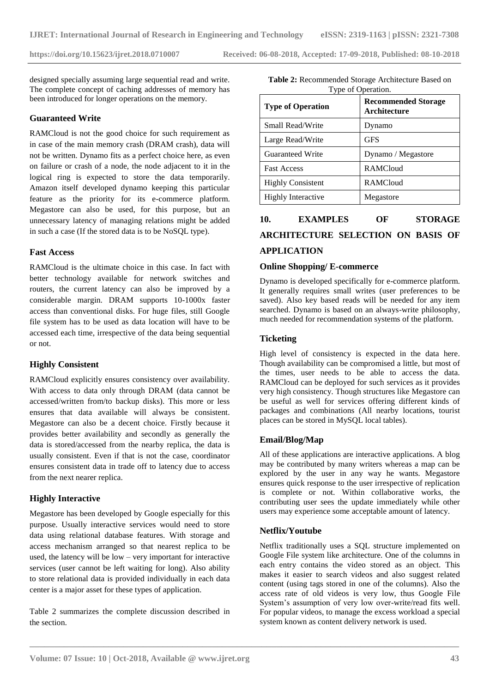designed specially assuming large sequential read and write. The complete concept of caching addresses of memory has been introduced for longer operations on the memory.

# **Guaranteed Write**

RAMCloud is not the good choice for such requirement as in case of the main memory crash (DRAM crash), data will not be written. Dynamo fits as a perfect choice here, as even on failure or crash of a node, the node adjacent to it in the logical ring is expected to store the data temporarily. Amazon itself developed dynamo keeping this particular feature as the priority for its e-commerce platform. Megastore can also be used, for this purpose, but an unnecessary latency of managing relations might be added in such a case (If the stored data is to be NoSQL type).

#### **Fast Access**

RAMCloud is the ultimate choice in this case. In fact with better technology available for network switches and routers, the current latency can also be improved by a considerable margin. DRAM supports 10-1000x faster access than conventional disks. For huge files, still Google file system has to be used as data location will have to be accessed each time, irrespective of the data being sequential or not.

# **Highly Consistent**

RAMCloud explicitly ensures consistency over availability. With access to data only through DRAM (data cannot be accessed/written from/to backup disks). This more or less ensures that data available will always be consistent. Megastore can also be a decent choice. Firstly because it provides better availability and secondly as generally the data is stored/accessed from the nearby replica, the data is usually consistent. Even if that is not the case, coordinator ensures consistent data in trade off to latency due to access from the next nearer replica.

# **Highly Interactive**

Megastore has been developed by Google especially for this purpose. Usually interactive services would need to store data using relational database features. With storage and access mechanism arranged so that nearest replica to be used, the latency will be low – very important for interactive services (user cannot be left waiting for long). Also ability to store relational data is provided individually in each data center is a major asset for these types of application.

Table 2 summarizes the complete discussion described in the section.

| Table 2: Recommended Storage Architecture Based on |
|----------------------------------------------------|
| Type of Operation.                                 |

| <b>Type of Operation</b>  | <b>Recommended Storage</b><br><b>Architecture</b> |  |
|---------------------------|---------------------------------------------------|--|
| Small Read/Write          | Dynamo                                            |  |
| Large Read/Write          | <b>GFS</b>                                        |  |
| Guaranteed Write          | Dynamo / Megastore                                |  |
| <b>Fast Access</b>        | <b>RAMCloud</b>                                   |  |
| <b>Highly Consistent</b>  | <b>RAMCloud</b>                                   |  |
| <b>Highly Interactive</b> | Megastore                                         |  |

# **10. EXAMPLES OF STORAGE ARCHITECTURE SELECTION ON BASIS OF APPLICATION**

# **Online Shopping/ E-commerce**

Dynamo is developed specifically for e-commerce platform. It generally requires small writes (user preferences to be saved). Also key based reads will be needed for any item searched. Dynamo is based on an always-write philosophy, much needed for recommendation systems of the platform.

#### **Ticketing**

High level of consistency is expected in the data here. Though availability can be compromised a little, but most of the times, user needs to be able to access the data. RAMCloud can be deployed for such services as it provides very high consistency. Though structures like Megastore can be useful as well for services offering different kinds of packages and combinations (All nearby locations, tourist places can be stored in MySQL local tables).

# **Email/Blog/Map**

All of these applications are interactive applications. A blog may be contributed by many writers whereas a map can be explored by the user in any way he wants. Megastore ensures quick response to the user irrespective of replication is complete or not. Within collaborative works, the contributing user sees the update immediately while other users may experience some acceptable amount of latency.

# **Netflix/Youtube**

**\_\_\_\_\_\_\_\_\_\_\_\_\_\_\_\_\_\_\_\_\_\_\_\_\_\_\_\_\_\_\_\_\_\_\_\_\_\_\_\_\_\_\_\_\_\_\_\_\_\_\_\_\_\_\_\_\_\_\_\_\_\_\_\_\_\_\_\_\_\_\_\_\_\_\_\_\_\_\_\_\_\_\_\_\_\_\_**

Netflix traditionally uses a SQL structure implemented on Google File system like architecture. One of the columns in each entry contains the video stored as an object. This makes it easier to search videos and also suggest related content (using tags stored in one of the columns). Also the access rate of old videos is very low, thus Google File System"s assumption of very low over-write/read fits well. For popular videos, to manage the excess workload a special system known as content delivery network is used.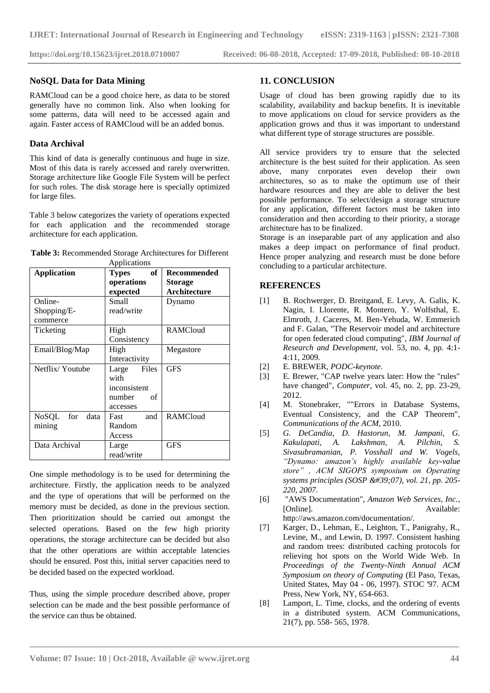#### **NoSQL Data for Data Mining**

RAMCloud can be a good choice here, as data to be stored generally have no common link. Also when looking for some patterns, data will need to be accessed again and again. Faster access of RAMCloud will be an added bonus.

# **Data Archival**

This kind of data is generally continuous and huge in size. Most of this data is rarely accessed and rarely overwritten. Storage architecture like Google File System will be perfect for such roles. The disk storage here is specially optimized for large files.

Table 3 below categorizes the variety of operations expected for each application and the recommended storage architecture for each application.

| <b>Application</b> | оf<br><b>Types</b> | Recommended         |
|--------------------|--------------------|---------------------|
| operations         |                    | Storage             |
|                    | expected           | <b>Architecture</b> |
| Online-            | <b>Small</b>       | Dynamo              |
| Shopping/E-        | read/write         |                     |
| commerce           |                    |                     |
| Ticketing          | High               | <b>RAMCloud</b>     |
|                    | Consistency        |                     |
| Email/Blog/Map     | High               | Megastore           |
|                    | Interactivity      |                     |
| Netflix/Youtube    | Files<br>Large     | <b>GFS</b>          |
|                    | with               |                     |
|                    | inconsistent       |                     |
|                    | number<br>of       |                     |
|                    | accesses           |                     |
| NoSQL for<br>data  | and<br>Fast        | <b>RAMCloud</b>     |
| mining             | Random             |                     |
|                    | Access             |                     |
| Data Archival      | Large              | <b>GFS</b>          |
|                    | read/write         |                     |

| Table 3: Recommended Storage Architectures for Different |
|----------------------------------------------------------|
| Applications                                             |

One simple methodology is to be used for determining the architecture. Firstly, the application needs to be analyzed and the type of operations that will be performed on the memory must be decided, as done in the previous section. Then prioritization should be carried out amongst the selected operations. Based on the few high priority operations, the storage architecture can be decided but also that the other operations are within acceptable latencies should be ensured. Post this, initial server capacities need to be decided based on the expected workload.

Thus, using the simple procedure described above, proper selection can be made and the best possible performance of the service can thus be obtained.

# **11. CONCLUSION**

Usage of cloud has been growing rapidly due to its scalability, availability and backup benefits. It is inevitable to move applications on cloud for service providers as the application grows and thus it was important to understand what different type of storage structures are possible.

All service providers try to ensure that the selected architecture is the best suited for their application. As seen above, many corporates even develop their own architectures, so as to make the optimum use of their hardware resources and they are able to deliver the best possible performance. To select/design a storage structure for any application, different factors must be taken into consideration and then according to their priority, a storage architecture has to be finalized.

Storage is an inseparable part of any application and also makes a deep impact on performance of final product. Hence proper analyzing and research must be done before concluding to a particular architecture.

# **REFERENCES**

- [1] B. Rochwerger, D. Breitgand, E. Levy, A. Galis, K. Nagin, I. Llorente, R. Montero, Y. Wolfsthal, E. Elmroth, J. Caceres, M. Ben-Yehuda, W. Emmerich and F. Galan, "The Reservoir model and architecture for open federated cloud computing", *IBM Journal of Research and Development*, vol. 53, no. 4, pp. 4:1- 4:11, 2009.
- [2] E. BREWER, *PODC-keynote*.
- [3] E. Brewer, "CAP twelve years later: How the "rules" have changed", *Computer*, vol. 45, no. 2, pp. 23-29, 2012.
- [4] M. Stonebraker, ""Errors in Database Systems, Eventual Consistency, and the CAP Theorem", *Communications of the ACM*, 2010.
- [5] *G. DeCandia, D. Hastorun, M. Jampani, G. Kakulapati, A. Lakshman, A. Pilchin, S. Sivasubramanian, P. Vosshall and W. Vogels, "Dynamo: amazon's highly available key-value store" , ACM SIGOPS symposium on Operating systems principles (SOSP '07), vol. 21, pp. 205-220, 2007.*
- [6] "AWS Documentation", *Amazon Web Services, Inc.*, [Online]. Available: http://aws.amazon.com/documentation/.
- [7] Karger, D., Lehman, E., Leighton, T., Panigrahy, R., Levine, M., and Lewin, D. 1997. Consistent hashing and random trees: distributed caching protocols for relieving hot spots on the World Wide Web. In *Proceedings of the Twenty-Ninth Annual ACM Symposium on theory of Computing* (El Paso, Texas, United States, May 04 - 06, 1997). STOC '97. ACM Press, New York, NY, 654-663.
- [8] Lamport, L. Time, clocks, and the ordering of events in a distributed system. ACM Communications, 21(7), pp. 558- 565, 1978.